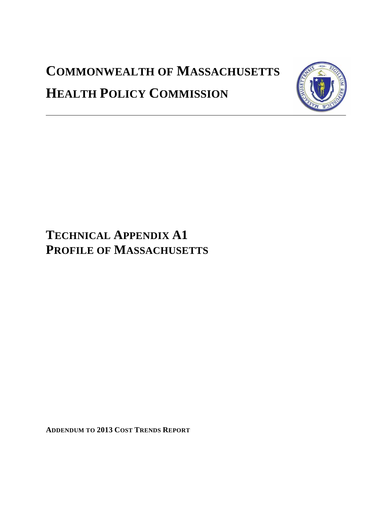# **COMMONWEALTH OF MASSACHUSETTS HEALTH POLICY COMMISSION**



# **TECHNICAL APPENDIX A1 PROFILE OF MASSACHUSETTS**

**ADDENDUM TO 2013 COST TRENDS REPORT**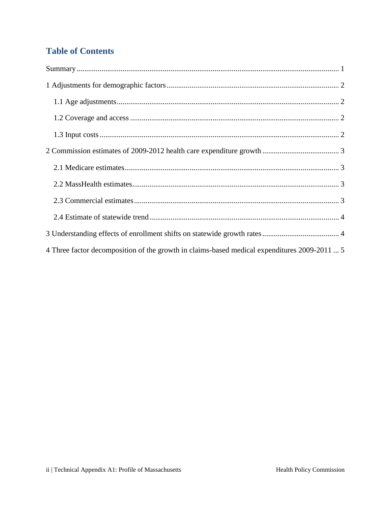# **Table of Contents**

| 4 Three factor decomposition of the growth in claims-based medical expenditures 2009-2011  5 |
|----------------------------------------------------------------------------------------------|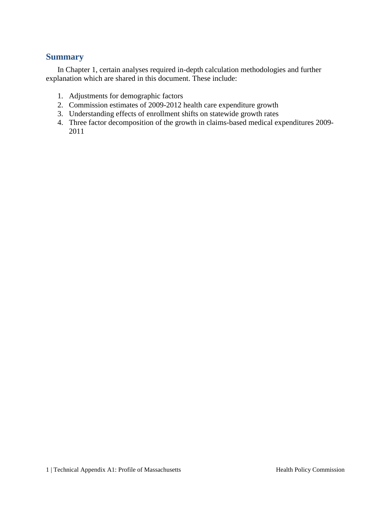#### <span id="page-2-0"></span>**Summary**

In Chapter 1, certain analyses required in-depth calculation methodologies and further explanation which are shared in this document. These include:

- 1. Adjustments for demographic factors
- 2. Commission estimates of 2009-2012 health care expenditure growth
- 3. Understanding effects of enrollment shifts on statewide growth rates
- 4. Three factor decomposition of the growth in claims-based medical expenditures 2009- 2011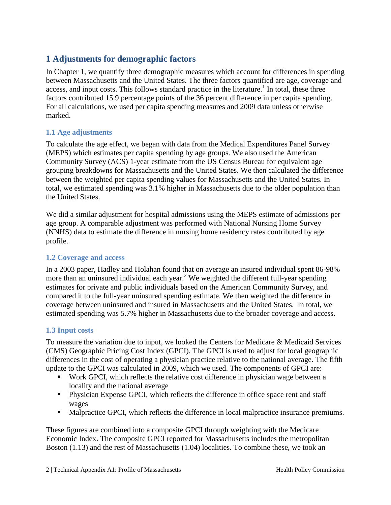# <span id="page-3-0"></span>**1 Adjustments for demographic factors**

In Chapter 1, we quantify three demographic measures which account for differences in spending between Massachusetts and the United States. The three factors quantified are age, coverage and access, and input costs. This follows standard practice in the literature.<sup>1</sup> In total, these three factors contributed 15.9 percentage points of the 36 percent difference in per capita spending. For all calculations, we used per capita spending measures and 2009 data unless otherwise marked.

#### <span id="page-3-1"></span>**1.1 Age adjustments**

To calculate the age effect, we began with data from the Medical Expenditures Panel Survey (MEPS) which estimates per capita spending by age groups. We also used the American Community Survey (ACS) 1-year estimate from the US Census Bureau for equivalent age grouping breakdowns for Massachusetts and the United States. We then calculated the difference between the weighted per capita spending values for Massachusetts and the United States. In total, we estimated spending was 3.1% higher in Massachusetts due to the older population than the United States.

We did a similar adjustment for hospital admissions using the MEPS estimate of admissions per age group. A comparable adjustment was performed with National Nursing Home Survey (NNHS) data to estimate the difference in nursing home residency rates contributed by age profile.

#### <span id="page-3-2"></span>**1.2 Coverage and access**

In a 2003 paper, Hadley and Holahan found that on average an insured individual spent 86-98% more than an uninsured individual each year. <sup>2</sup> We weighted the different full-year spending estimates for private and public individuals based on the American Community Survey, and compared it to the full-year uninsured spending estimate. We then weighted the difference in coverage between uninsured and insured in Massachusetts and the United States. In total, we estimated spending was 5.7% higher in Massachusetts due to the broader coverage and access.

#### <span id="page-3-3"></span>**1.3 Input costs**

To measure the variation due to input, we looked the Centers for Medicare & Medicaid Services (CMS) Geographic Pricing Cost Index (GPCI). The GPCI is used to adjust for local geographic differences in the cost of operating a physician practice relative to the national average. The fifth update to the GPCI was calculated in 2009, which we used. The components of GPCI are:

- Work GPCI, which reflects the relative cost difference in physician wage between a locality and the national average
- Physician Expense GPCI, which reflects the difference in office space rent and staff wages
- Malpractice GPCI, which reflects the difference in local malpractice insurance premiums.

These figures are combined into a composite GPCI through weighting with the Medicare Economic Index. The composite GPCI reported for Massachusetts includes the metropolitan Boston (1.13) and the rest of Massachusetts (1.04) localities. To combine these, we took an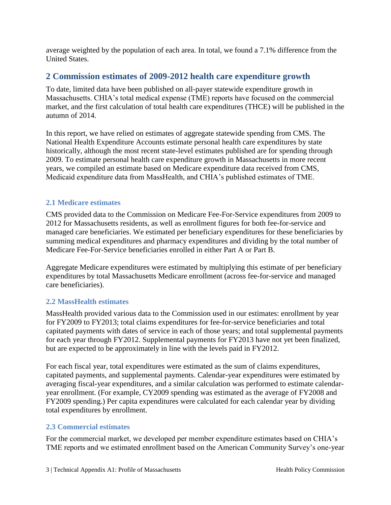average weighted by the population of each area. In total, we found a 7.1% difference from the United States.

## <span id="page-4-0"></span>**2 Commission estimates of 2009-2012 health care expenditure growth**

To date, limited data have been published on all-payer statewide expenditure growth in Massachusetts. CHIA's total medical expense (TME) reports have focused on the commercial market, and the first calculation of total health care expenditures (THCE) will be published in the autumn of 2014.

In this report, we have relied on estimates of aggregate statewide spending from CMS. The National Health Expenditure Accounts estimate personal health care expenditures by state historically, although the most recent state-level estimates published are for spending through 2009. To estimate personal health care expenditure growth in Massachusetts in more recent years, we compiled an estimate based on Medicare expenditure data received from CMS, Medicaid expenditure data from MassHealth, and CHIA's published estimates of TME.

#### <span id="page-4-1"></span>**2.1 Medicare estimates**

CMS provided data to the Commission on Medicare Fee-For-Service expenditures from 2009 to 2012 for Massachusetts residents, as well as enrollment figures for both fee-for-service and managed care beneficiaries. We estimated per beneficiary expenditures for these beneficiaries by summing medical expenditures and pharmacy expenditures and dividing by the total number of Medicare Fee-For-Service beneficiaries enrolled in either Part A or Part B.

Aggregate Medicare expenditures were estimated by multiplying this estimate of per beneficiary expenditures by total Massachusetts Medicare enrollment (across fee-for-service and managed care beneficiaries).

#### <span id="page-4-2"></span>**2.2 MassHealth estimates**

MassHealth provided various data to the Commission used in our estimates: enrollment by year for FY2009 to FY2013; total claims expenditures for fee-for-service beneficiaries and total capitated payments with dates of service in each of those years; and total supplemental payments for each year through FY2012. Supplemental payments for FY2013 have not yet been finalized, but are expected to be approximately in line with the levels paid in FY2012.

For each fiscal year, total expenditures were estimated as the sum of claims expenditures, capitated payments, and supplemental payments. Calendar-year expenditures were estimated by averaging fiscal-year expenditures, and a similar calculation was performed to estimate calendaryear enrollment. (For example, CY2009 spending was estimated as the average of FY2008 and FY2009 spending.) Per capita expenditures were calculated for each calendar year by dividing total expenditures by enrollment.

#### <span id="page-4-3"></span>**2.3 Commercial estimates**

For the commercial market, we developed per member expenditure estimates based on CHIA's TME reports and we estimated enrollment based on the American Community Survey's one-year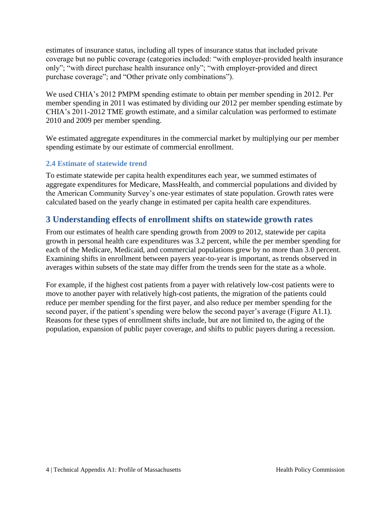estimates of insurance status, including all types of insurance status that included private coverage but no public coverage (categories included: "with employer-provided health insurance only"; "with direct purchase health insurance only"; "with employer-provided and direct purchase coverage"; and "Other private only combinations").

We used CHIA's 2012 PMPM spending estimate to obtain per member spending in 2012. Per member spending in 2011 was estimated by dividing our 2012 per member spending estimate by CHIA's 2011-2012 TME growth estimate, and a similar calculation was performed to estimate 2010 and 2009 per member spending.

We estimated aggregate expenditures in the commercial market by multiplying our per member spending estimate by our estimate of commercial enrollment.

#### <span id="page-5-0"></span>**2.4 Estimate of statewide trend**

To estimate statewide per capita health expenditures each year, we summed estimates of aggregate expenditures for Medicare, MassHealth, and commercial populations and divided by the American Community Survey's one-year estimates of state population. Growth rates were calculated based on the yearly change in estimated per capita health care expenditures.

### <span id="page-5-1"></span>**3 Understanding effects of enrollment shifts on statewide growth rates**

From our estimates of health care spending growth from 2009 to 2012, statewide per capita growth in personal health care expenditures was 3.2 percent, while the per member spending for each of the Medicare, Medicaid, and commercial populations grew by no more than 3.0 percent. Examining shifts in enrollment between payers year-to-year is important, as trends observed in averages within subsets of the state may differ from the trends seen for the state as a whole.

For example, if the highest cost patients from a payer with relatively low-cost patients were to move to another payer with relatively high-cost patients, the migration of the patients could reduce per member spending for the first payer, and also reduce per member spending for the second payer, if the patient's spending were below the second payer's average (Figure A1.1). Reasons for these types of enrollment shifts include, but are not limited to, the aging of the population, expansion of public payer coverage, and shifts to public payers during a recession.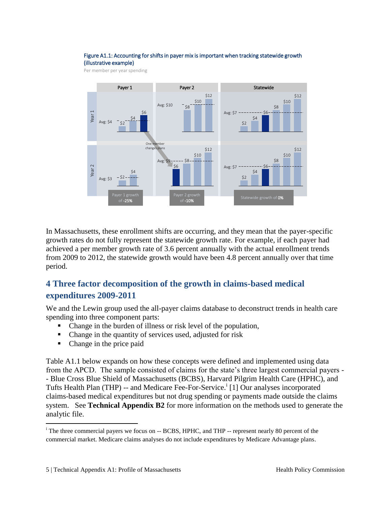#### Figure A1.1: Accounting for shifts in payer mix is important when tracking statewide growth (illustrative example)

Per member per year spending



In Massachusetts, these enrollment shifts are occurring, and they mean that the payer-specific growth rates do not fully represent the statewide growth rate. For example, if each payer had achieved a per member growth rate of 3.6 percent annually with the actual enrollment trends from 2009 to 2012, the statewide growth would have been 4.8 percent annually over that time period.

# <span id="page-6-0"></span>**4 Three factor decomposition of the growth in claims-based medical expenditures 2009-2011**

We and the Lewin group used the all-payer claims database to deconstruct trends in health care spending into three component parts:

- Change in the burden of illness or risk level of the population,
- Change in the quantity of services used, adjusted for risk
- Change in the price paid

 $\overline{a}$ 

Table A1.1 below expands on how these concepts were defined and implemented using data from the APCD. The sample consisted of claims for the state's three largest commercial payers - - Blue Cross Blue Shield of Massachusetts (BCBS), Harvard Pilgrim Health Care (HPHC), and Tufts Health Plan (THP) -- and Medicare Fee-For-Service.<sup>i</sup> [1] Our analyses incorporated claims-based medical expenditures but not drug spending or payments made outside the claims system. See **Technical Appendix B2** for more information on the methods used to generate the analytic file.

<sup>&</sup>lt;sup>i</sup> The three commercial payers we focus on -- BCBS, HPHC, and THP -- represent nearly 80 percent of the commercial market. Medicare claims analyses do not include expenditures by Medicare Advantage plans.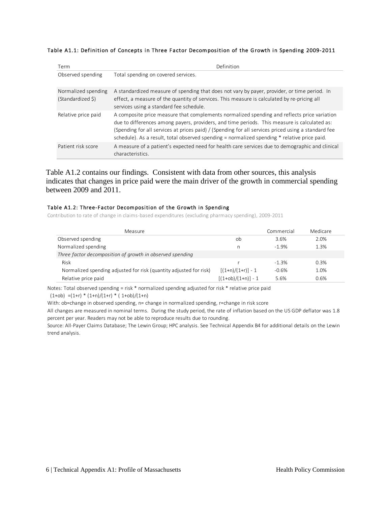Table A1.1: Definition of Concepts in Three Factor Decomposition of the Growth in Spending 2009-2011

| Term                                     | Definition                                                                                                                                                                                                                                                                                                                                                                                         |  |  |  |
|------------------------------------------|----------------------------------------------------------------------------------------------------------------------------------------------------------------------------------------------------------------------------------------------------------------------------------------------------------------------------------------------------------------------------------------------------|--|--|--|
| Observed spending                        | Total spending on covered services.                                                                                                                                                                                                                                                                                                                                                                |  |  |  |
| Normalized spending<br>(Standardized \$) | A standardized measure of spending that does not vary by payer, provider, or time period. In<br>effect, a measure of the quantity of services. This measure is calculated by re-pricing all<br>services using a standard fee schedule.                                                                                                                                                             |  |  |  |
| Relative price paid                      | A composite price measure that complements normalized spending and reflects price variation<br>due to differences among payers, providers, and time periods. This measure is calculated as:<br>(Spending for all services at prices paid) / (Spending for all services priced using a standard fee<br>schedule). As a result, total observed spending = normalized spending * relative price paid. |  |  |  |
| Patient risk score                       | A measure of a patient's expected need for health care services due to demographic and clinical<br>characteristics.                                                                                                                                                                                                                                                                                |  |  |  |

Table A1.2 contains our findings. Consistent with data from other sources, this analysis indicates that changes in price paid were the main driver of the growth in commercial spending between 2009 and 2011.

#### Table A1.2: Three-Factor Decomposition of the Growth in Spending

Contribution to rate of change in claims-based expenditures (excluding pharmacy spending), 2009-2011

| Measure                                                            | Commercial           | Medicare |      |
|--------------------------------------------------------------------|----------------------|----------|------|
| Observed spending                                                  | ob                   | 3.6%     | 2.0% |
| Normalized spending                                                | n                    | $-1.9%$  | 1.3% |
| Three factor decomposition of growth in observed spending          |                      |          |      |
| Risk                                                               |                      | $-1.3%$  | 0.3% |
| Normalized spending adjusted for risk (quantity adjusted for risk) | $[(1+n)/(1+r)] - 1$  | $-0.6%$  | 1.0% |
| Relative price paid                                                | $[(1+ob)/(1+n)] - 1$ | 5.6%     | 0.6% |

Notes: Total observed spending = risk \* normalized spending adjusted for risk \* relative price paid

 $(1+ob) = (1+r) * (1+n)/(1+r) * (1+ob)/(1+n)$ 

With: ob=change in observed spending, n= change in normalized spending, r=change in risk score

All changes are measured in nominal terms. During the study period, the rate of inflation based on the US GDP deflator was 1.8 percent per year. Readers may not be able to reproduce results due to rounding.

Source: All-Payer Claims Database; The Lewin Group; HPC analysis. See Technical Appendix B4 for additional details on the Lewin trend analysis.